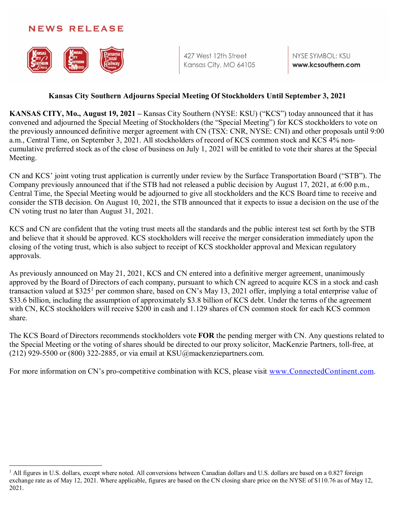# **NEWS RELEASE**



427 West 12th Street Kansas City, MO 64105

NYSE SYMBOL: KSU www.kcsouthern.com

#### **Kansas City Southern Adjourns Special Meeting Of Stockholders Until September 3, 2021**

**KANSAS CITY, Mo., August 19, 2021 –** Kansas City Southern (NYSE: KSU) ("KCS") today announced that it has convened and adjourned the Special Meeting of Stockholders (the "Special Meeting") for KCS stockholders to vote on the previously announced definitive merger agreement with CN (TSX: CNR, NYSE: CNI) and other proposals until 9:00 a.m., Central Time, on September 3, 2021. All stockholders of record of KCS common stock and KCS 4% noncumulative preferred stock as of the close of business on July 1, 2021 will be entitled to vote their shares at the Special Meeting.

CN and KCS' joint voting trust application is currently under review by the Surface Transportation Board ("STB"). The Company previously announced that if the STB had not released a public decision by August 17, 2021, at 6:00 p.m., Central Time, the Special Meeting would be adjourned to give all stockholders and the KCS Board time to receive and consider the STB decision. On August 10, 2021, the STB announced that it expects to issue a decision on the use of the CN voting trust no later than August 31, 2021.

KCS and CN are confident that the voting trust meets all the standards and the public interest test set forth by the STB and believe that it should be approved. KCS stockholders will receive the merger consideration immediately upon the closing of the voting trust, which is also subject to receipt of KCS stockholder approval and Mexican regulatory approvals.

As previously announced on May 21, 2021, KCS and CN entered into a definitive merger agreement, unanimously approved by the Board of Directors of each company, pursuant to which CN agreed to acquire KCS in a stock and cash transaction valued at \$325<sup>[1](#page-0-0)</sup> per common share, based on CN's May 13, 2021 offer, implying a total enterprise value of \$33.6 billion, including the assumption of approximately \$3.8 billion of KCS debt. Under the terms of the agreement with CN, KCS stockholders will receive \$200 in cash and 1.129 shares of CN common stock for each KCS common share.

The KCS Board of Directors recommends stockholders vote **FOR** the pending merger with CN. Any questions related to the Special Meeting or the voting of shares should be directed to our proxy solicitor, MacKenzie Partners, toll-free, at  $(212)$  929-5500 or (800) 322-2885, or via email at KSU@mackenziepartners.com.

For more information on CN's pro-competitive combination with KCS, please visit [www.ConnectedContinent.com.](http://www.connectedcontinent.com/)

<span id="page-0-0"></span> $1$  All figures in U.S. dollars, except where noted. All conversions between Canadian dollars and U.S. dollars are based on a 0.827 foreign exchange rate as of May 12, 2021. Where applicable, figures are based on the CN closing share price on the NYSE of \$110.76 as of May 12, 2021.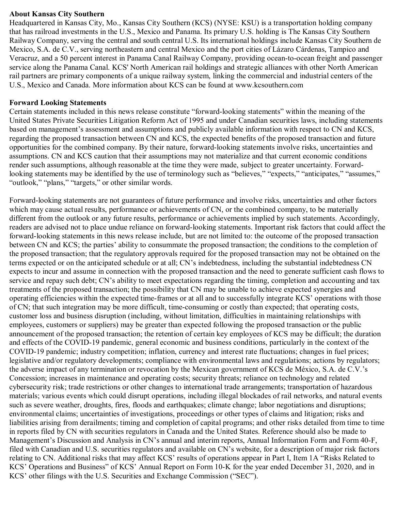#### **About Kansas City Southern**

Headquartered in Kansas City, Mo., Kansas City Southern (KCS) (NYSE: KSU) is a transportation holding company that has railroad investments in the U.S., Mexico and Panama. Its primary U.S. holding is The Kansas City Southern Railway Company, serving the central and south central U.S. Its international holdings include Kansas City Southern de Mexico, S.A. de C.V., serving northeastern and central Mexico and the port cities of Lázaro Cárdenas, Tampico and Veracruz, and a 50 percent interest in Panama Canal Railway Company, providing ocean-to-ocean freight and passenger service along the Panama Canal. KCS' North American rail holdings and strategic alliances with other North American rail partners are primary components of a unique railway system, linking the commercial and industrial centers of the U.S., Mexico and Canada. More information about KCS can be found at www.kcsouthern.com

#### **Forward Looking Statements**

Certain statements included in this news release constitute "forward-looking statements" within the meaning of the United States Private Securities Litigation Reform Act of 1995 and under Canadian securities laws, including statements based on management's assessment and assumptions and publicly available information with respect to CN and KCS, regarding the proposed transaction between CN and KCS, the expected benefits of the proposed transaction and future opportunities for the combined company. By their nature, forward-looking statements involve risks, uncertainties and assumptions. CN and KCS caution that their assumptions may not materialize and that current economic conditions render such assumptions, although reasonable at the time they were made, subject to greater uncertainty. Forwardlooking statements may be identified by the use of terminology such as "believes," "expects," "anticipates," "assumes," "outlook," "plans," "targets," or other similar words.

Forward-looking statements are not guarantees of future performance and involve risks, uncertainties and other factors which may cause actual results, performance or achievements of CN, or the combined company, to be materially different from the outlook or any future results, performance or achievements implied by such statements. Accordingly, readers are advised not to place undue reliance on forward-looking statements. Important risk factors that could affect the forward-looking statements in this news release include, but are not limited to: the outcome of the proposed transaction between CN and KCS; the parties' ability to consummate the proposed transaction; the conditions to the completion of the proposed transaction; that the regulatory approvals required for the proposed transaction may not be obtained on the terms expected or on the anticipated schedule or at all; CN's indebtedness, including the substantial indebtedness CN expects to incur and assume in connection with the proposed transaction and the need to generate sufficient cash flows to service and repay such debt; CN's ability to meet expectations regarding the timing, completion and accounting and tax treatments of the proposed transaction; the possibility that CN may be unable to achieve expected synergies and operating efficiencies within the expected time-frames or at all and to successfully integrate KCS' operations with those of CN; that such integration may be more difficult, time-consuming or costly than expected; that operating costs, customer loss and business disruption (including, without limitation, difficulties in maintaining relationships with employees, customers or suppliers) may be greater than expected following the proposed transaction or the public announcement of the proposed transaction; the retention of certain key employees of KCS may be difficult; the duration and effects of the COVID-19 pandemic, general economic and business conditions, particularly in the context of the COVID-19 pandemic; industry competition; inflation, currency and interest rate fluctuations; changes in fuel prices; legislative and/or regulatory developments; compliance with environmental laws and regulations; actions by regulators; the adverse impact of any termination or revocation by the Mexican government of KCS de México, S.A. de C.V.'s Concession; increases in maintenance and operating costs; security threats; reliance on technology and related cybersecurity risk; trade restrictions or other changes to international trade arrangements; transportation of hazardous materials; various events which could disrupt operations, including illegal blockades of rail networks, and natural events such as severe weather, droughts, fires, floods and earthquakes; climate change; labor negotiations and disruptions; environmental claims; uncertainties of investigations, proceedings or other types of claims and litigation; risks and liabilities arising from derailments; timing and completion of capital programs; and other risks detailed from time to time in reports filed by CN with securities regulators in Canada and the United States. Reference should also be made to Management's Discussion and Analysis in CN's annual and interim reports, Annual Information Form and Form 40-F, filed with Canadian and U.S. securities regulators and available on CN's website, for a description of major risk factors relating to CN. Additional risks that may affect KCS' results of operations appear in Part I, Item 1A "Risks Related to KCS' Operations and Business" of KCS' Annual Report on Form 10-K for the year ended December 31, 2020, and in KCS' other filings with the U.S. Securities and Exchange Commission ("SEC").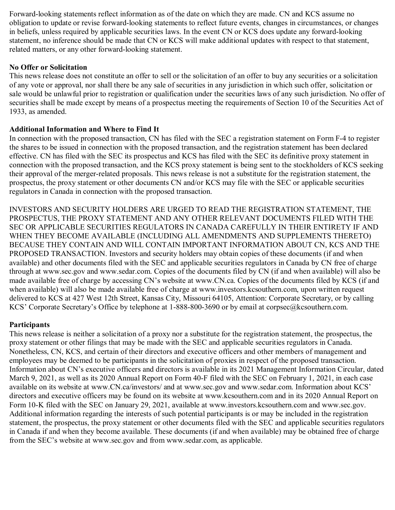Forward-looking statements reflect information as of the date on which they are made. CN and KCS assume no obligation to update or revise forward-looking statements to reflect future events, changes in circumstances, or changes in beliefs, unless required by applicable securities laws. In the event CN or KCS does update any forward-looking statement, no inference should be made that CN or KCS will make additional updates with respect to that statement, related matters, or any other forward-looking statement.

## **No Offer or Solicitation**

This news release does not constitute an offer to sell or the solicitation of an offer to buy any securities or a solicitation of any vote or approval, nor shall there be any sale of securities in any jurisdiction in which such offer, solicitation or sale would be unlawful prior to registration or qualification under the securities laws of any such jurisdiction. No offer of securities shall be made except by means of a prospectus meeting the requirements of Section 10 of the Securities Act of 1933, as amended.

## **Additional Information and Where to Find It**

In connection with the proposed transaction, CN has filed with the SEC a registration statement on Form F-4 to register the shares to be issued in connection with the proposed transaction, and the registration statement has been declared effective. CN has filed with the SEC its prospectus and KCS has filed with the SEC its definitive proxy statement in connection with the proposed transaction, and the KCS proxy statement is being sent to the stockholders of KCS seeking their approval of the merger-related proposals. This news release is not a substitute for the registration statement, the prospectus, the proxy statement or other documents CN and/or KCS may file with the SEC or applicable securities regulators in Canada in connection with the proposed transaction.

INVESTORS AND SECURITY HOLDERS ARE URGED TO READ THE REGISTRATION STATEMENT, THE PROSPECTUS, THE PROXY STATEMENT AND ANY OTHER RELEVANT DOCUMENTS FILED WITH THE SEC OR APPLICABLE SECURITIES REGULATORS IN CANADA CAREFULLY IN THEIR ENTIRETY IF AND WHEN THEY BECOME AVAILABLE (INCLUDING ALL AMENDMENTS AND SUPPLEMENTS THERETO) BECAUSE THEY CONTAIN AND WILL CONTAIN IMPORTANT INFORMATION ABOUT CN, KCS AND THE PROPOSED TRANSACTION. Investors and security holders may obtain copies of these documents (if and when available) and other documents filed with the SEC and applicable securities regulators in Canada by CN free of charge through at www.sec.gov and www.sedar.com. Copies of the documents filed by CN (if and when available) will also be made available free of charge by accessing CN's website at www.CN.ca. Copies of the documents filed by KCS (if and when available) will also be made available free of charge at www.investors.kcsouthern.com, upon written request delivered to KCS at 427 West 12th Street, Kansas City, Missouri 64105, Attention: Corporate Secretary, or by calling KCS' Corporate Secretary's Office by telephone at 1-888-800-3690 or by email at corpsec@kcsouthern.com.

## **Participants**

This news release is neither a solicitation of a proxy nor a substitute for the registration statement, the prospectus, the proxy statement or other filings that may be made with the SEC and applicable securities regulators in Canada. Nonetheless, CN, KCS, and certain of their directors and executive officers and other members of management and employees may be deemed to be participants in the solicitation of proxies in respect of the proposed transaction. Information about CN's executive officers and directors is available in its 2021 Management Information Circular, dated March 9, 2021, as well as its 2020 Annual Report on Form 40-F filed with the SEC on February 1, 2021, in each case available on its website at www.CN.ca/investors/ and at www.sec.gov and www.sedar.com. Information about KCS' directors and executive officers may be found on its website at www.kcsouthern.com and in its 2020 Annual Report on Form 10-K filed with the SEC on January 29, 2021, available at www.investors.kcsouthern.com and www.sec.gov. Additional information regarding the interests of such potential participants is or may be included in the registration statement, the prospectus, the proxy statement or other documents filed with the SEC and applicable securities regulators in Canada if and when they become available. These documents (if and when available) may be obtained free of charge from the SEC's website at www.sec.gov and from www.sedar.com, as applicable.